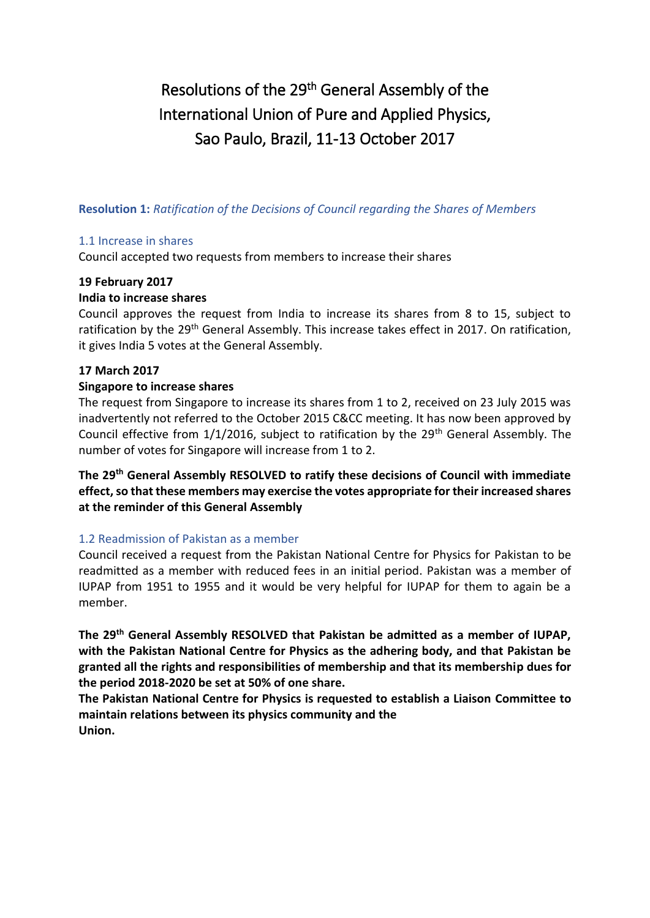# Resolutions of the 29<sup>th</sup> General Assembly of the International Union of Pure and Applied Physics, Sao Paulo, Brazil, 11-13 October 2017

**Resolution 1:** *Ratification of the Decisions of Council regarding the Shares of Members*

#### 1.1 Increase in shares

Council accepted two requests from members to increase their shares

#### **19 February 2017**

#### **India to increase shares**

Council approves the request from India to increase its shares from 8 to 15, subject to ratification by the 29<sup>th</sup> General Assembly. This increase takes effect in 2017. On ratification, it gives India 5 votes at the General Assembly.

#### **17 March 2017**

#### **Singapore to increase shares**

The request from Singapore to increase its shares from 1 to 2, received on 23 July 2015 was inadvertently not referred to the October 2015 C&CC meeting. It has now been approved by Council effective from  $1/1/2016$ , subject to ratification by the  $29<sup>th</sup>$  General Assembly. The number of votes for Singapore will increase from 1 to 2.

**The 29th General Assembly RESOLVED to ratify these decisions of Council with immediate effect, so that these members may exercise the votes appropriate for their increased shares at the reminder of this General Assembly**

#### 1.2 Readmission of Pakistan as a member

Council received a request from the Pakistan National Centre for Physics for Pakistan to be readmitted as a member with reduced fees in an initial period. Pakistan was a member of IUPAP from 1951 to 1955 and it would be very helpful for IUPAP for them to again be a member.

**The 29th General Assembly RESOLVED that Pakistan be admitted as a member of IUPAP, with the Pakistan National Centre for Physics as the adhering body, and that Pakistan be granted all the rights and responsibilities of membership and that its membership dues for the period 2018-2020 be set at 50% of one share.**

**The Pakistan National Centre for Physics is requested to establish a Liaison Committee to maintain relations between its physics community and the Union.**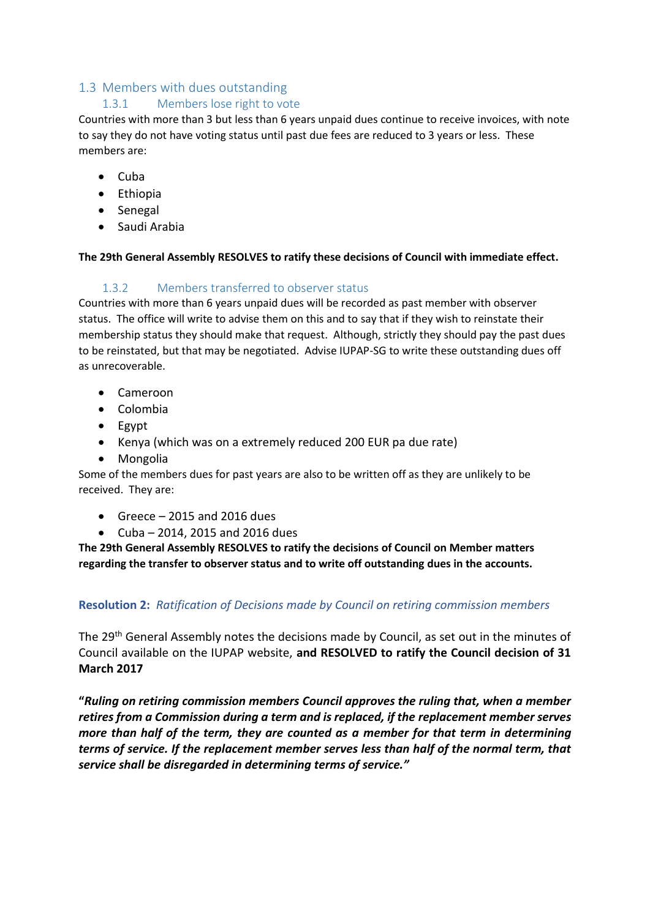# 1.3 Members with dues outstanding

## 1.3.1 Members lose right to vote

Countries with more than 3 but less than 6 years unpaid dues continue to receive invoices, with note to say they do not have voting status until past due fees are reduced to 3 years or less. These members are:

- $\bullet$  Cuba
- Ethiopia
- Senegal
- **•** Saudi Arabia

#### **The 29th General Assembly RESOLVES to ratify these decisions of Council with immediate effect.**

## 1.3.2 Members transferred to observer status

Countries with more than 6 years unpaid dues will be recorded as past member with observer status. The office will write to advise them on this and to say that if they wish to reinstate their membership status they should make that request. Although, strictly they should pay the past dues to be reinstated, but that may be negotiated. Advise IUPAP-SG to write these outstanding dues off as unrecoverable.

- Cameroon
- Colombia
- Egypt
- Kenya (which was on a extremely reduced 200 EUR pa due rate)
- Mongolia

Some of the members dues for past years are also to be written off as they are unlikely to be received. They are:

- $\bullet$  Greece 2015 and 2016 dues
- Cuba 2014, 2015 and 2016 dues

**The 29th General Assembly RESOLVES to ratify the decisions of Council on Member matters regarding the transfer to observer status and to write off outstanding dues in the accounts.**

## **Resolution 2:** *Ratification of Decisions made by Council on retiring commission members*

The 29<sup>th</sup> General Assembly notes the decisions made by Council, as set out in the minutes of Council available on the IUPAP website, **and RESOLVED to ratify the Council decision of 31 March 2017**

**"***Ruling on retiring commission members Council approves the ruling that, when a member retires from a Commission during a term and is replaced, if the replacement member serves more than half of the term, they are counted as a member for that term in determining terms of service. If the replacement member serves less than half of the normal term, that service shall be disregarded in determining terms of service."*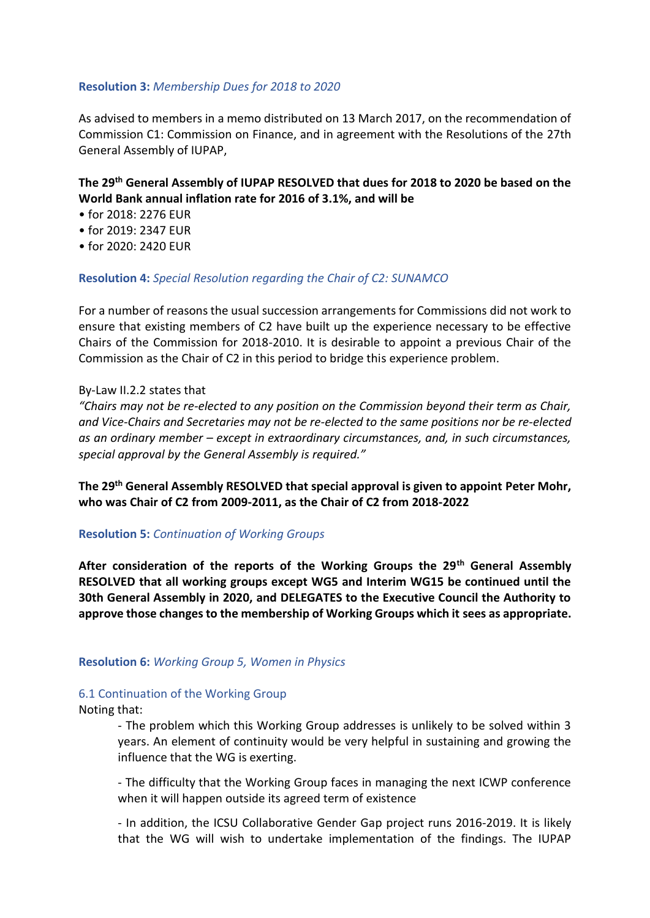#### **Resolution 3:** *Membership Dues for 2018 to 2020*

As advised to members in a memo distributed on 13 March 2017, on the recommendation of Commission C1: Commission on Finance, and in agreement with the Resolutions of the 27th General Assembly of IUPAP,

# **The 29th General Assembly of IUPAP RESOLVED that dues for 2018 to 2020 be based on the World Bank annual inflation rate for 2016 of 3.1%, and will be**

- for 2018: 2276 EUR
- for 2019: 2347 EUR
- for 2020: 2420 EUR

#### **Resolution 4:** *Special Resolution regarding the Chair of C2: SUNAMCO*

For a number of reasons the usual succession arrangements for Commissions did not work to ensure that existing members of C2 have built up the experience necessary to be effective Chairs of the Commission for 2018-2010. It is desirable to appoint a previous Chair of the Commission as the Chair of C2 in this period to bridge this experience problem.

#### By-Law II.2.2 states that

*"Chairs may not be re-elected to any position on the Commission beyond their term as Chair, and Vice-Chairs and Secretaries may not be re-elected to the same positions nor be re-elected as an ordinary member – except in extraordinary circumstances, and, in such circumstances, special approval by the General Assembly is required."*

**The 29th General Assembly RESOLVED that special approval is given to appoint Peter Mohr, who was Chair of C2 from 2009-2011, as the Chair of C2 from 2018-2022**

#### **Resolution 5:** *Continuation of Working Groups*

**After consideration of the reports of the Working Groups the 29th General Assembly RESOLVED that all working groups except WG5 and Interim WG15 be continued until the 30th General Assembly in 2020, and DELEGATES to the Executive Council the Authority to approve those changes to the membership of Working Groups which it sees as appropriate.**

#### **Resolution 6:** *Working Group 5, Women in Physics*

#### 6.1 Continuation of the Working Group

#### Noting that:

- The problem which this Working Group addresses is unlikely to be solved within 3 years. An element of continuity would be very helpful in sustaining and growing the influence that the WG is exerting.

- The difficulty that the Working Group faces in managing the next ICWP conference when it will happen outside its agreed term of existence

- In addition, the ICSU Collaborative Gender Gap project runs 2016-2019. It is likely that the WG will wish to undertake implementation of the findings. The IUPAP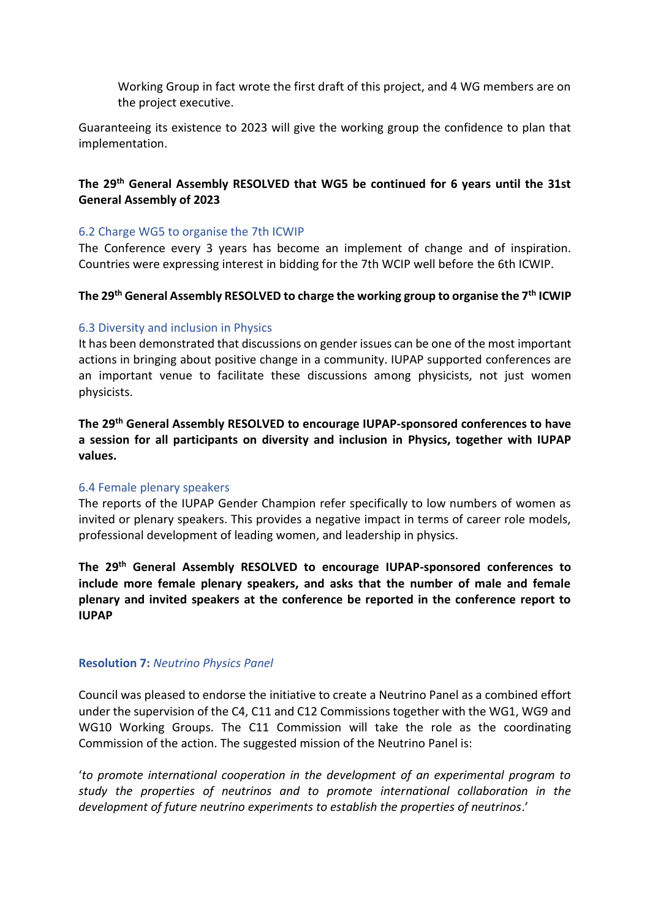Working Group in fact wrote the first draft of this project, and 4 WG members are on the project executive.

Guaranteeing its existence to 2023 will give the working group the confidence to plan that implementation.

# **The 29th General Assembly RESOLVED that WG5 be continued for 6 years until the 31st General Assembly of 2023**

#### 6.2 Charge WG5 to organise the 7th ICWIP

The Conference every 3 years has become an implement of change and of inspiration. Countries were expressing interest in bidding for the 7th WCIP well before the 6th ICWIP.

## **The 29th General Assembly RESOLVED to charge the working group to organise the 7th ICWIP**

## 6.3 Diversity and inclusion in Physics

It has been demonstrated that discussions on gender issues can be one of the most important actions in bringing about positive change in a community. IUPAP supported conferences are an important venue to facilitate these discussions among physicists, not just women physicists.

**The 29th General Assembly RESOLVED to encourage IUPAP-sponsored conferences to have a session for all participants on diversity and inclusion in Physics, together with IUPAP values.**

#### 6.4 Female plenary speakers

The reports of the IUPAP Gender Champion refer specifically to low numbers of women as invited or plenary speakers. This provides a negative impact in terms of career role models, professional development of leading women, and leadership in physics.

**The 29th General Assembly RESOLVED to encourage IUPAP-sponsored conferences to include more female plenary speakers, and asks that the number of male and female plenary and invited speakers at the conference be reported in the conference report to IUPAP**

#### **Resolution 7:** *Neutrino Physics Panel*

Council was pleased to endorse the initiative to create a Neutrino Panel as a combined effort under the supervision of the C4, C11 and C12 Commissions together with the WG1, WG9 and WG10 Working Groups. The C11 Commission will take the role as the coordinating Commission of the action. The suggested mission of the Neutrino Panel is:

'*to promote international cooperation in the development of an experimental program to study the properties of neutrinos and to promote international collaboration in the development of future neutrino experiments to establish the properties of neutrinos*.'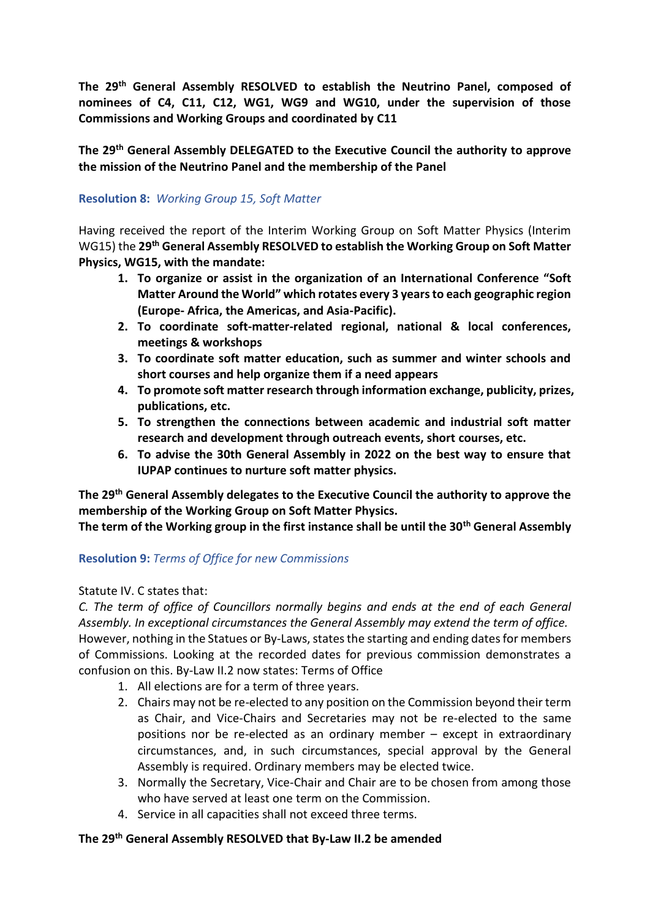**The 29th General Assembly RESOLVED to establish the Neutrino Panel, composed of nominees of C4, C11, C12, WG1, WG9 and WG10, under the supervision of those Commissions and Working Groups and coordinated by C11**

**The 29th General Assembly DELEGATED to the Executive Council the authority to approve the mission of the Neutrino Panel and the membership of the Panel**

## **Resolution 8:** *Working Group 15, Soft Matter*

Having received the report of the Interim Working Group on Soft Matter Physics (Interim WG15) the **29th General Assembly RESOLVED to establish the Working Group on Soft Matter Physics, WG15, with the mandate:**

- **1. To organize or assist in the organization of an International Conference "Soft Matter Around the World" which rotates every 3 years to each geographic region (Europe- Africa, the Americas, and Asia-Pacific).**
- **2. To coordinate soft-matter-related regional, national & local conferences, meetings & workshops**
- **3. To coordinate soft matter education, such as summer and winter schools and short courses and help organize them if a need appears**
- **4. To promote soft matter research through information exchange, publicity, prizes, publications, etc.**
- **5. To strengthen the connections between academic and industrial soft matter research and development through outreach events, short courses, etc.**
- **6. To advise the 30th General Assembly in 2022 on the best way to ensure that IUPAP continues to nurture soft matter physics.**

**The 29th General Assembly delegates to the Executive Council the authority to approve the membership of the Working Group on Soft Matter Physics.**

**The term of the Working group in the first instance shall be until the 30th General Assembly**

#### **Resolution 9:** *Terms of Office for new Commissions*

#### Statute IV. C states that:

*C. The term of office of Councillors normally begins and ends at the end of each General Assembly. In exceptional circumstances the General Assembly may extend the term of office.* However, nothing in the Statues or By-Laws, states the starting and ending dates for members of Commissions. Looking at the recorded dates for previous commission demonstrates a confusion on this. By-Law II.2 now states: Terms of Office

- 1. All elections are for a term of three years.
- 2. Chairs may not be re-elected to any position on the Commission beyond their term as Chair, and Vice-Chairs and Secretaries may not be re-elected to the same positions nor be re-elected as an ordinary member – except in extraordinary circumstances, and, in such circumstances, special approval by the General Assembly is required. Ordinary members may be elected twice.
- 3. Normally the Secretary, Vice-Chair and Chair are to be chosen from among those who have served at least one term on the Commission.
- 4. Service in all capacities shall not exceed three terms.

# **The 29th General Assembly RESOLVED that By-Law II.2 be amended**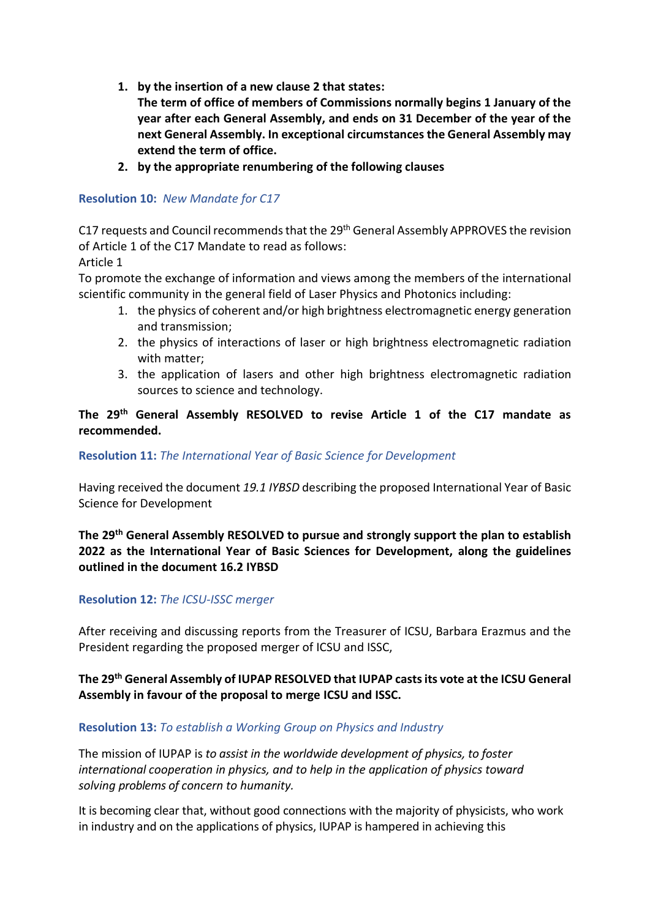- **1. by the insertion of a new clause 2 that states:**
	- **The term of office of members of Commissions normally begins 1 January of the year after each General Assembly, and ends on 31 December of the year of the next General Assembly. In exceptional circumstances the General Assembly may extend the term of office.**
- **2. by the appropriate renumbering of the following clauses**

# **Resolution 10:** *New Mandate for C17*

C17 requests and Council recommends that the 29th General Assembly APPROVES the revision of Article 1 of the C17 Mandate to read as follows:

Article 1

To promote the exchange of information and views among the members of the international scientific community in the general field of Laser Physics and Photonics including:

- 1. the physics of coherent and/or high brightness electromagnetic energy generation and transmission;
- 2. the physics of interactions of laser or high brightness electromagnetic radiation with matter;
- 3. the application of lasers and other high brightness electromagnetic radiation sources to science and technology.

## **The 29th General Assembly RESOLVED to revise Article 1 of the C17 mandate as recommended.**

## **Resolution 11:** *The International Year of Basic Science for Development*

Having received the document *19.1 IYBSD* describing the proposed International Year of Basic Science for Development

# **The 29th General Assembly RESOLVED to pursue and strongly support the plan to establish 2022 as the International Year of Basic Sciences for Development, along the guidelines outlined in the document 16.2 IYBSD**

## **Resolution 12:** *The ICSU-ISSC merger*

After receiving and discussing reports from the Treasurer of ICSU, Barbara Erazmus and the President regarding the proposed merger of ICSU and ISSC,

# **The 29th General Assembly of IUPAP RESOLVED that IUPAP casts its vote at the ICSU General Assembly in favour of the proposal to merge ICSU and ISSC.**

## **Resolution 13:** *To establish a Working Group on Physics and Industry*

The mission of IUPAP is *to assist in the worldwide development of physics, to foster international cooperation in physics, and to help in the application of physics toward solving problems of concern to humanity.*

It is becoming clear that, without good connections with the majority of physicists, who work in industry and on the applications of physics, IUPAP is hampered in achieving this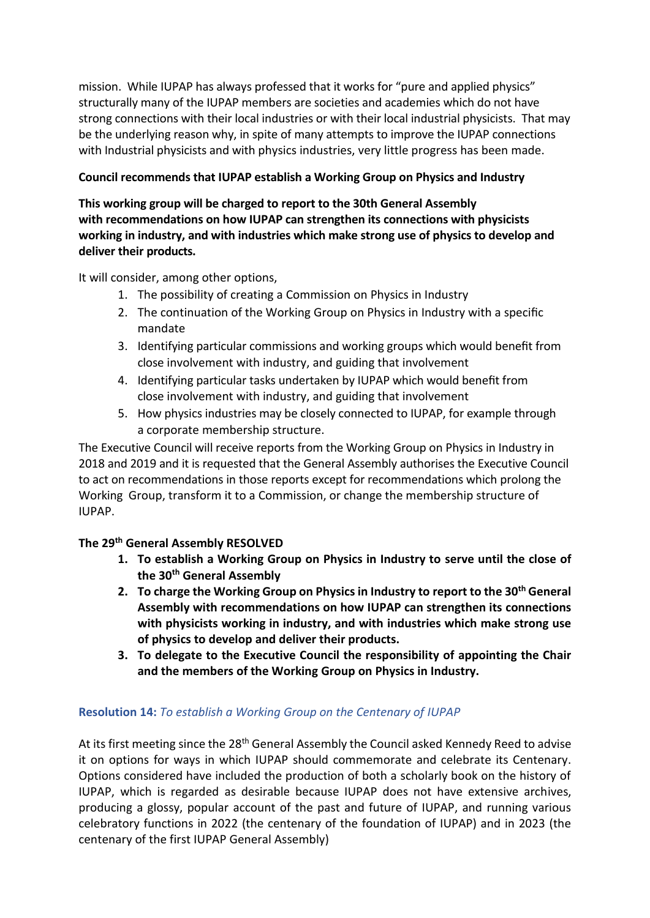mission. While IUPAP has always professed that it works for "pure and applied physics" structurally many of the IUPAP members are societies and academies which do not have strong connections with their local industries or with their local industrial physicists. That may be the underlying reason why, in spite of many attempts to improve the IUPAP connections with Industrial physicists and with physics industries, very little progress has been made.

# **Council recommends that IUPAP establish a Working Group on Physics and Industry**

**This working group will be charged to report to the 30th General Assembly with recommendations on how IUPAP can strengthen its connections with physicists working in industry, and with industries which make strong use of physics to develop and deliver their products.**

It will consider, among other options,

- 1. The possibility of creating a Commission on Physics in Industry
- 2. The continuation of the Working Group on Physics in Industry with a specific mandate
- 3. Identifying particular commissions and working groups which would benefit from close involvement with industry, and guiding that involvement
- 4. Identifying particular tasks undertaken by IUPAP which would benefit from close involvement with industry, and guiding that involvement
- 5. How physics industries may be closely connected to IUPAP, for example through a corporate membership structure.

The Executive Council will receive reports from the Working Group on Physics in Industry in 2018 and 2019 and it is requested that the General Assembly authorises the Executive Council to act on recommendations in those reports except for recommendations which prolong the Working Group, transform it to a Commission, or change the membership structure of IUPAP.

## **The 29th General Assembly RESOLVED**

- **1. To establish a Working Group on Physics in Industry to serve until the close of the 30th General Assembly**
- **2. To charge the Working Group on Physics in Industry to report to the 30th General Assembly with recommendations on how IUPAP can strengthen its connections with physicists working in industry, and with industries which make strong use of physics to develop and deliver their products.**
- **3. To delegate to the Executive Council the responsibility of appointing the Chair and the members of the Working Group on Physics in Industry.**

## **Resolution 14:** *To establish a Working Group on the Centenary of IUPAP*

At its first meeting since the 28<sup>th</sup> General Assembly the Council asked Kennedy Reed to advise it on options for ways in which IUPAP should commemorate and celebrate its Centenary. Options considered have included the production of both a scholarly book on the history of IUPAP, which is regarded as desirable because IUPAP does not have extensive archives, producing a glossy, popular account of the past and future of IUPAP, and running various celebratory functions in 2022 (the centenary of the foundation of IUPAP) and in 2023 (the centenary of the first IUPAP General Assembly)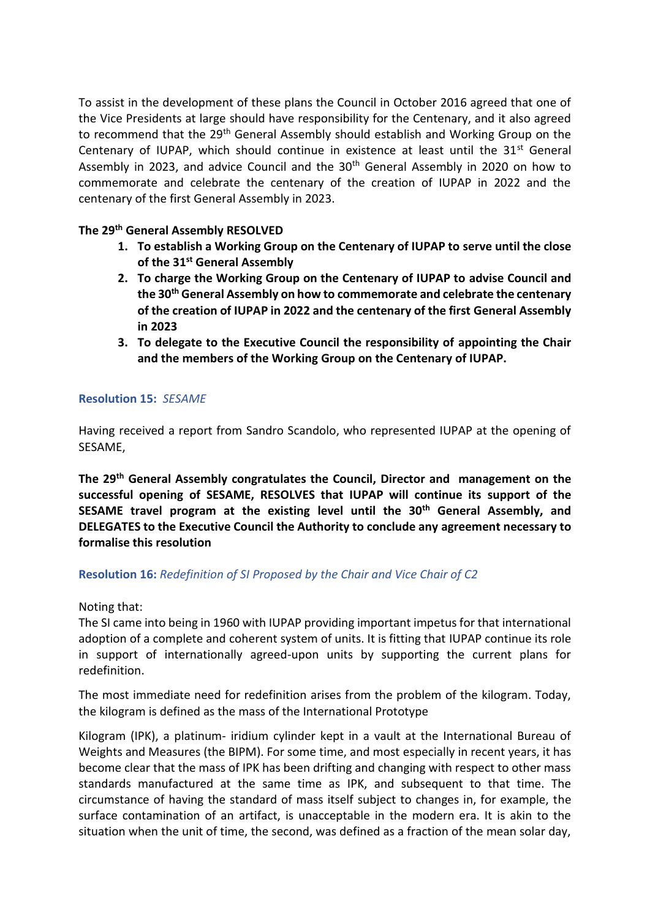To assist in the development of these plans the Council in October 2016 agreed that one of the Vice Presidents at large should have responsibility for the Centenary, and it also agreed to recommend that the 29<sup>th</sup> General Assembly should establish and Working Group on the Centenary of IUPAP, which should continue in existence at least until the  $31<sup>st</sup>$  General Assembly in 2023, and advice Council and the 30th General Assembly in 2020 on how to commemorate and celebrate the centenary of the creation of IUPAP in 2022 and the centenary of the first General Assembly in 2023.

## **The 29th General Assembly RESOLVED**

- **1. To establish a Working Group on the Centenary of IUPAP to serve until the close of the 31st General Assembly**
- **2. To charge the Working Group on the Centenary of IUPAP to advise Council and the 30th General Assembly on how to commemorate and celebrate the centenary of the creation of IUPAP in 2022 and the centenary of the first General Assembly in 2023**
- **3. To delegate to the Executive Council the responsibility of appointing the Chair and the members of the Working Group on the Centenary of IUPAP.**

## **Resolution 15:** *SESAME*

Having received a report from Sandro Scandolo, who represented IUPAP at the opening of SESAME,

**The 29th General Assembly congratulates the Council, Director and management on the successful opening of SESAME, RESOLVES that IUPAP will continue its support of the SESAME travel program at the existing level until the 30th General Assembly, and DELEGATES to the Executive Council the Authority to conclude any agreement necessary to formalise this resolution**

#### **Resolution 16:** *Redefinition of SI Proposed by the Chair and Vice Chair of C2*

Noting that:

The SI came into being in 1960 with IUPAP providing important impetus for that international adoption of a complete and coherent system of units. It is fitting that IUPAP continue its role in support of internationally agreed-upon units by supporting the current plans for redefinition.

The most immediate need for redefinition arises from the problem of the kilogram. Today, the kilogram is defined as the mass of the International Prototype

Kilogram (IPK), a platinum- iridium cylinder kept in a vault at the International Bureau of Weights and Measures (the BIPM). For some time, and most especially in recent years, it has become clear that the mass of IPK has been drifting and changing with respect to other mass standards manufactured at the same time as IPK, and subsequent to that time. The circumstance of having the standard of mass itself subject to changes in, for example, the surface contamination of an artifact, is unacceptable in the modern era. It is akin to the situation when the unit of time, the second, was defined as a fraction of the mean solar day,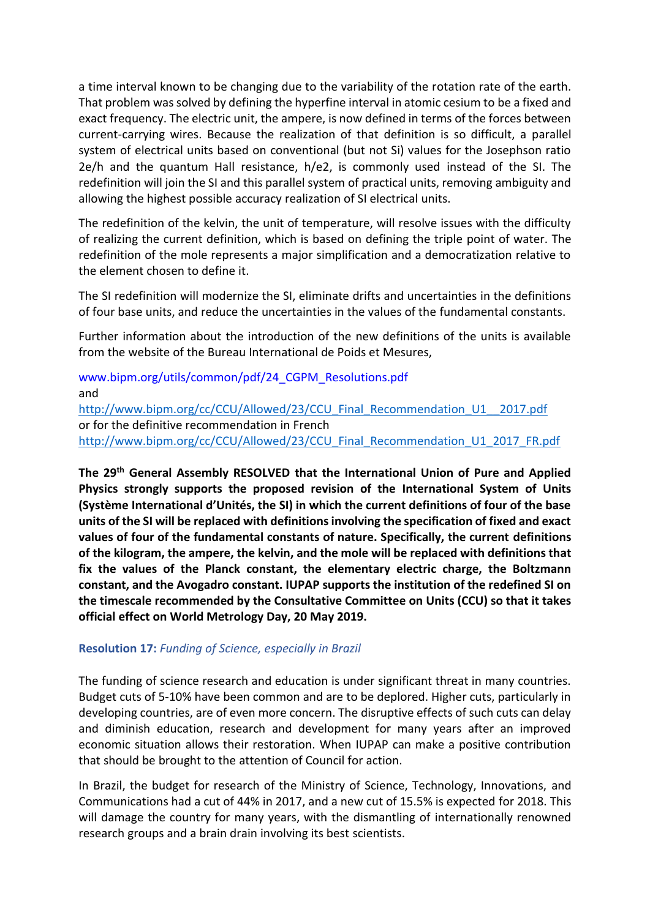a time interval known to be changing due to the variability of the rotation rate of the earth. That problem was solved by defining the hyperfine interval in atomic cesium to be a fixed and exact frequency. The electric unit, the ampere, is now defined in terms of the forces between current-carrying wires. Because the realization of that definition is so difficult, a parallel system of electrical units based on conventional (but not Si) values for the Josephson ratio 2e/h and the quantum Hall resistance, h/e2, is commonly used instead of the SI. The redefinition will join the SI and this parallel system of practical units, removing ambiguity and allowing the highest possible accuracy realization of SI electrical units.

The redefinition of the kelvin, the unit of temperature, will resolve issues with the difficulty of realizing the current definition, which is based on defining the triple point of water. The redefinition of the mole represents a major simplification and a democratization relative to the element chosen to define it.

The SI redefinition will modernize the SI, eliminate drifts and uncertainties in the definitions of four base units, and reduce the uncertainties in the values of the fundamental constants.

Further information about the introduction of the new definitions of the units is available from the website of the Bureau International de Poids et Mesures,

www.bipm.org/utils/common/pdf/24\_CGPM\_Resolutions.pdf and [http://www.bipm.org/cc/CCU/Allowed/23/CCU\\_Final\\_Recommendation\\_U1\\_\\_2017.pdf](http://www.bipm.org/cc/CCU/Allowed/23/CCU_Final_Recommendation_U1__2017.pdf) or for the definitive recommendation in French [http://www.bipm.org/cc/CCU/Allowed/23/CCU\\_Final\\_Recommendation\\_U1\\_2017\\_FR.pdf](http://www.bipm.org/cc/CCU/Allowed/23/CCU_Final_Recommendation_U1_2017_FR.pdf)

**The 29th General Assembly RESOLVED that the International Union of Pure and Applied Physics strongly supports the proposed revision of the International System of Units (Système International d'Unités, the SI) in which the current definitions of four of the base units of the SI will be replaced with definitions involving the specification of fixed and exact values of four of the fundamental constants of nature. Specifically, the current definitions of the kilogram, the ampere, the kelvin, and the mole will be replaced with definitions that fix the values of the Planck constant, the elementary electric charge, the Boltzmann constant, and the Avogadro constant. IUPAP supports the institution of the redefined SI on the timescale recommended by the Consultative Committee on Units (CCU) so that it takes official effect on World Metrology Day, 20 May 2019.**

## **Resolution 17:** *Funding of Science, especially in Brazil*

The funding of science research and education is under significant threat in many countries. Budget cuts of 5-10% have been common and are to be deplored. Higher cuts, particularly in developing countries, are of even more concern. The disruptive effects of such cuts can delay and diminish education, research and development for many years after an improved economic situation allows their restoration. When IUPAP can make a positive contribution that should be brought to the attention of Council for action.

In Brazil, the budget for research of the Ministry of Science, Technology, Innovations, and Communications had a cut of 44% in 2017, and a new cut of 15.5% is expected for 2018. This will damage the country for many years, with the dismantling of internationally renowned research groups and a brain drain involving its best scientists.